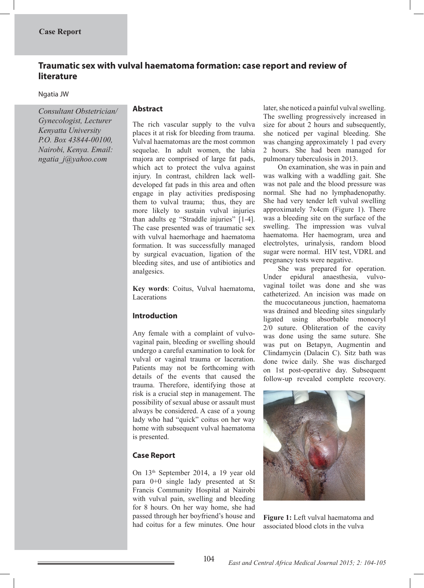# **Traumatic sex with vulval haematoma formation: case report and review of literature**

### Ngatia JW

*Consultant Obstetrician/ Gynecologist, Lecturer Kenyatta University P.O. Box 43844-00100, Nairobi, Kenya. Email: ngatia\_j@yahoo.com*

### **Abstract**

The rich vascular supply to the vulva places it at risk for bleeding from trauma. Vulval haematomas are the most common sequelae. In adult women, the labia majora are comprised of large fat pads, which act to protect the vulva against injury. In contrast, children lack welldeveloped fat pads in this area and often engage in play activities predisposing them to vulval trauma; thus, they are more likely to sustain vulval injuries than adults eg "Straddle injuries" [1-4]. The case presented was of traumatic sex with vulval haemorhage and haematoma formation. It was successfully managed by surgical evacuation, ligation of the bleeding sites, and use of antibiotics and analgesics.

**Key words**: Coitus, Vulval haematoma, Lacerations

### **Introduction**

Any female with a complaint of vulvovaginal pain, bleeding or swelling should undergo a careful examination to look for vulval or vaginal trauma or laceration. Patients may not be forthcoming with details of the events that caused the trauma. Therefore, identifying those at risk is a crucial step in management. The possibility of sexual abuse or assault must always be considered. A case of a young lady who had "quick" coitus on her way home with subsequent vulval haematoma is presented.

## **Case Report**

On 13th September 2014, a 19 year old para 0+0 single lady presented at St Francis Community Hospital at Nairobi with vulval pain, swelling and bleeding for 8 hours. On her way home, she had passed through her boyfriend's house and had coitus for a few minutes. One hour

later, she noticed a painful vulval swelling. The swelling progressively increased in size for about 2 hours and subsequently, she noticed per vaginal bleeding. She was changing approximately 1 pad every 2 hours. She had been managed for pulmonary tuberculosis in 2013.

 On examination, she was in pain and was walking with a waddling gait. She was not pale and the blood pressure was normal. She had no lymphadenopathy. She had very tender left vulval swelling approximately 7x4cm (Figure 1). There was a bleeding site on the surface of the swelling. The impression was vulval haematoma. Her haemogram, urea and electrolytes, urinalysis, random blood sugar were normal. HIV test, VDRL and pregnancy tests were negative.

 She was prepared for operation. Under epidural anaesthesia, vulvovaginal toilet was done and she was catheterized. An incision was made on the mucocutaneous junction, haematoma was drained and bleeding sites singularly ligated using absorbable monocryl 2/0 suture. Obliteration of the cavity was done using the same suture. She was put on Betapyn, Augmentin and Clindamycin (Dalacin C). Sitz bath was done twice daily. She was discharged on 1st post-operative day. Subsequent follow-up revealed complete recovery.



**Figure 1:** Left vulval haematoma and associated blood clots in the vulva